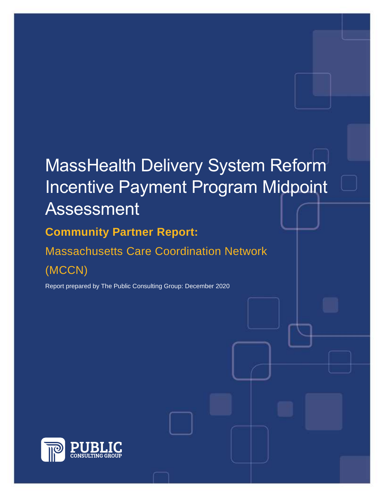# MassHealth Delivery System Reform Incentive Payment Program Midpoint Assessment

**Community Partner Report:** Massachusetts Care Coordination Network

(MCCN)

Report prepared by The Public Consulting Group: December 2020

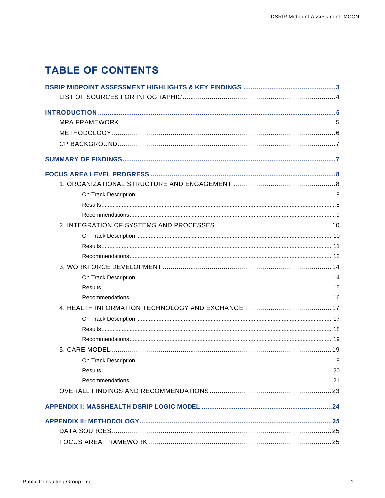## **TABLE OF CONTENTS**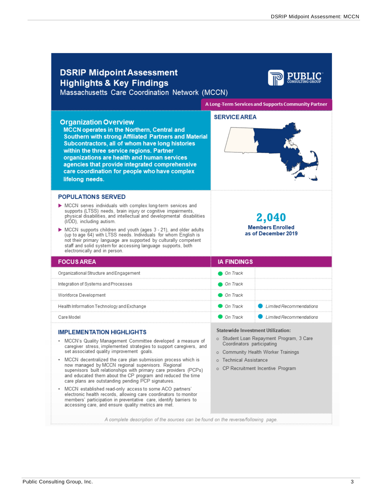<span id="page-3-0"></span>

| <b>DSRIP Midpoint Assessment</b><br><b>Highlights &amp; Key Findings</b><br>Massachusetts Care Coordination Network (MCCN)                                                                                                                                                                                                                                                                                                                                                                                                                                                                                 |                                                                                                                                                                                                                                  |
|------------------------------------------------------------------------------------------------------------------------------------------------------------------------------------------------------------------------------------------------------------------------------------------------------------------------------------------------------------------------------------------------------------------------------------------------------------------------------------------------------------------------------------------------------------------------------------------------------------|----------------------------------------------------------------------------------------------------------------------------------------------------------------------------------------------------------------------------------|
|                                                                                                                                                                                                                                                                                                                                                                                                                                                                                                                                                                                                            | A Long-Term Services and Supports Community Partner                                                                                                                                                                              |
| <b>Organization Overview</b><br><b>MCCN operates in the Northern, Central and</b><br>Southern with strong Affiliated Partners and Material<br>Subcontractors, all of whom have long histories<br>within the three service regions. Partner<br>organizations are health and human services<br>agencies that provide integrated comprehensive<br>care coordination for people who have complex<br>lifelong needs.                                                                                                                                                                                            | <b>SERVICE AREA</b>                                                                                                                                                                                                              |
| <b>POPULATIONS SERVED</b><br>MCCN serves individuals with complex long-term services and<br>supports (LTSS) needs, brain injury or cognitive impairments,<br>physical disabilities, and intellectual and developmental disabilities<br>(I/DD), including autism.                                                                                                                                                                                                                                                                                                                                           | 2,040                                                                                                                                                                                                                            |
| MCCN supports children and youth (ages 3 - 21), and older adults<br>(up to age 64) with LTSS needs. Individuals for whom English is<br>not their primary language are supported by culturally competent<br>staff and solid system for accessing language supports, both<br>electronically and in person.                                                                                                                                                                                                                                                                                                   | <b>Members Enrolled</b><br>as of December 2019                                                                                                                                                                                   |
| <b>FOCUS AREA</b>                                                                                                                                                                                                                                                                                                                                                                                                                                                                                                                                                                                          | <b>IA FINDINGS</b>                                                                                                                                                                                                               |
| Organizational Structure and Engagement                                                                                                                                                                                                                                                                                                                                                                                                                                                                                                                                                                    | On Track                                                                                                                                                                                                                         |
| Integration of Systems and Processes                                                                                                                                                                                                                                                                                                                                                                                                                                                                                                                                                                       | ● On Track                                                                                                                                                                                                                       |
| Workforce Development                                                                                                                                                                                                                                                                                                                                                                                                                                                                                                                                                                                      | On Track                                                                                                                                                                                                                         |
| Health Information Technology and Exchange                                                                                                                                                                                                                                                                                                                                                                                                                                                                                                                                                                 | On Track<br>Limited Recommendations                                                                                                                                                                                              |
| Care Model                                                                                                                                                                                                                                                                                                                                                                                                                                                                                                                                                                                                 | On Track<br>Limited Recommendations                                                                                                                                                                                              |
| <b>IMPLEMENTATION HIGHLIGHTS</b><br>• MCCN's Quality Management Committee developed a measure of<br>caregiver stress, implemented strategies to support caregivers, and<br>set associated quality improvement goals.<br>MCCN decentralized the care plan submission process which is<br>٠<br>now managed by MCCN regional supervisors. Regional<br>supervisors built relationships with primary care providers (PCPs)<br>and educated them about the CP program and reduced the time<br>care plans are outstanding pending PCP signatures.<br>MCCN established read-only access to some ACO partners'<br>٠ | Statewide Investment Utilization:<br>o Student Loan Repayment Program, 3 Care<br>Coordinators participating<br>o Community Health Worker Trainings<br><b>Technical Assistance</b><br>$\circ$<br>CP Recruitment Incentive Program |
| electronic health records, allowing care coordinators to monitor<br>members' participation in preventative care, identify barriers to<br>accessing care, and ensure quality metrics are met.                                                                                                                                                                                                                                                                                                                                                                                                               |                                                                                                                                                                                                                                  |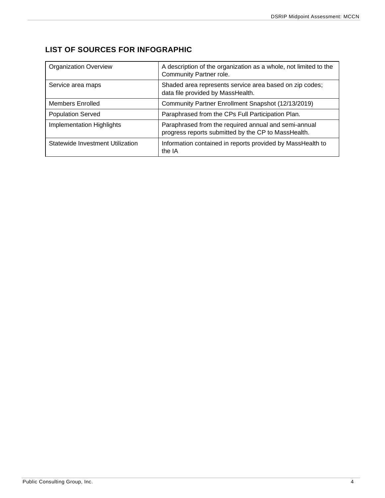## <span id="page-4-0"></span>**LIST OF SOURCES FOR INFOGRAPHIC**

| <b>Organization Overview</b>     | A description of the organization as a whole, not limited to the<br>Community Partner role.                 |
|----------------------------------|-------------------------------------------------------------------------------------------------------------|
| Service area maps                | Shaded area represents service area based on zip codes;<br>data file provided by MassHealth.                |
| Members Enrolled                 | Community Partner Enrollment Snapshot (12/13/2019)                                                          |
| <b>Population Served</b>         | Paraphrased from the CPs Full Participation Plan.                                                           |
| Implementation Highlights        | Paraphrased from the required annual and semi-annual<br>progress reports submitted by the CP to MassHealth. |
| Statewide Investment Utilization | Information contained in reports provided by MassHealth to<br>the IA                                        |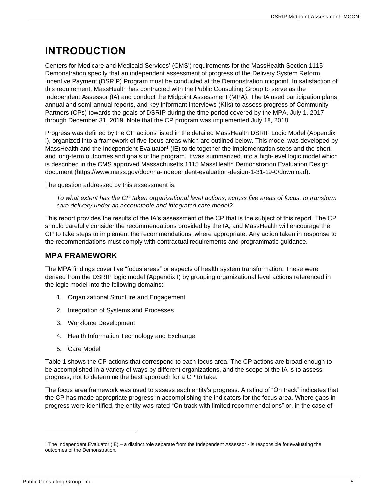## <span id="page-5-0"></span>**INTRODUCTION**

Centers for Medicare and Medicaid Services' (CMS') requirements for the MassHealth Section 1115 Demonstration specify that an independent assessment of progress of the Delivery System Reform Incentive Payment (DSRIP) Program must be conducted at the Demonstration midpoint. In satisfaction of this requirement, MassHealth has contracted with the Public Consulting Group to serve as the Independent Assessor (IA) and conduct the Midpoint Assessment (MPA). The IA used participation plans, annual and semi-annual reports, and key informant interviews (KIIs) to assess progress of Community Partners (CPs) towards the goals of DSRIP during the time period covered by the MPA, July 1, 2017 through December 31, 2019. Note that the CP program was implemented July 18, 2018.

Progress was defined by the CP actions listed in the detailed MassHealth DSRIP Logic Model (Appendix I), organized into a framework of five focus areas which are outlined below. This model was developed by MassHealth and the Independent Evaluator<sup>1</sup> (IE) to tie together the implementation steps and the shortand long-term outcomes and goals of the program. It was summarized into a high-level logic model which is described in the CMS approved Massachusetts 1115 MassHealth Demonstration Evaluation Design document [\(https://www.mass.gov/doc/ma-independent-evaluation-design-1-31-19-0/download\)](https://www.mass.gov/doc/ma-independent-evaluation-design-1-31-19-0/download).

The question addressed by this assessment is:

*To what extent has the CP taken organizational level actions, across five areas of focus, to transform care delivery under an accountable and integrated care model?*

This report provides the results of the IA's assessment of the CP that is the subject of this report. The CP should carefully consider the recommendations provided by the IA, and MassHealth will encourage the CP to take steps to implement the recommendations, where appropriate. Any action taken in response to the recommendations must comply with contractual requirements and programmatic guidance.

### <span id="page-5-1"></span>**MPA FRAMEWORK**

The MPA findings cover five "focus areas" or aspects of health system transformation. These were derived from the DSRIP logic model (Appendix I) by grouping organizational level actions referenced in the logic model into the following domains:

- 1. Organizational Structure and Engagement
- 2. Integration of Systems and Processes
- 3. Workforce Development
- 4. Health Information Technology and Exchange
- 5. Care Model

Table 1 shows the CP actions that correspond to each focus area. The CP actions are broad enough to be accomplished in a variety of ways by different organizations, and the scope of the IA is to assess progress, not to determine the best approach for a CP to take.

The focus area framework was used to assess each entity's progress. A rating of "On track" indicates that the CP has made appropriate progress in accomplishing the indicators for the focus area. Where gaps in progress were identified, the entity was rated "On track with limited recommendations" or, in the case of

 $1$  The Independent Evaluator (IE) – a distinct role separate from the Independent Assessor - is responsible for evaluating the outcomes of the Demonstration.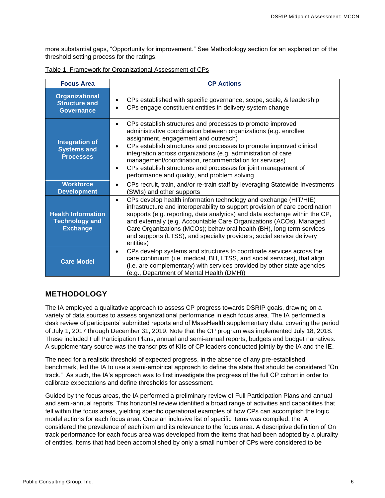more substantial gaps, "Opportunity for improvement." See Methodology section for an explanation of the threshold setting process for the ratings.

| <b>Focus Area</b>                                                     | <b>CP Actions</b>                                                                                                                                                                                                                                                                                                                                                                                                                                                                                                                |
|-----------------------------------------------------------------------|----------------------------------------------------------------------------------------------------------------------------------------------------------------------------------------------------------------------------------------------------------------------------------------------------------------------------------------------------------------------------------------------------------------------------------------------------------------------------------------------------------------------------------|
| <b>Organizational</b><br><b>Structure and</b><br><b>Governance</b>    | CPs established with specific governance, scope, scale, & leadership<br>CPs engage constituent entities in delivery system change<br>$\bullet$                                                                                                                                                                                                                                                                                                                                                                                   |
| <b>Integration of</b><br><b>Systems and</b><br><b>Processes</b>       | CPs establish structures and processes to promote improved<br>$\bullet$<br>administrative coordination between organizations (e.g. enrollee<br>assignment, engagement and outreach)<br>CPs establish structures and processes to promote improved clinical<br>$\bullet$<br>integration across organizations (e.g. administration of care<br>management/coordination, recommendation for services)<br>CPs establish structures and processes for joint management of<br>$\bullet$<br>performance and quality, and problem solving |
| <b>Workforce</b><br><b>Development</b>                                | CPs recruit, train, and/or re-train staff by leveraging Statewide Investments<br>$\bullet$<br>(SWIs) and other supports                                                                                                                                                                                                                                                                                                                                                                                                          |
| <b>Health Information</b><br><b>Technology and</b><br><b>Exchange</b> | CPs develop health information technology and exchange (HIT/HIE)<br>$\bullet$<br>infrastructure and interoperability to support provision of care coordination<br>supports (e.g. reporting, data analytics) and data exchange within the CP,<br>and externally (e.g. Accountable Care Organizations (ACOs), Managed<br>Care Organizations (MCOs); behavioral health (BH), long term services<br>and supports (LTSS), and specialty providers; social service delivery<br>entities)                                               |
| <b>Care Model</b>                                                     | CPs develop systems and structures to coordinate services across the<br>$\bullet$<br>care continuum (i.e. medical, BH, LTSS, and social services), that align<br>(i.e. are complementary) with services provided by other state agencies<br>(e.g., Department of Mental Health (DMH))                                                                                                                                                                                                                                            |

Table 1. Framework for Organizational Assessment of CPs

## <span id="page-6-0"></span>**METHODOLOGY**

The IA employed a qualitative approach to assess CP progress towards DSRIP goals, drawing on a variety of data sources to assess organizational performance in each focus area. The IA performed a desk review of participants' submitted reports and of MassHealth supplementary data, covering the period of July 1, 2017 through December 31, 2019. Note that the CP program was implemented July 18, 2018. These included Full Participation Plans, annual and semi-annual reports, budgets and budget narratives. A supplementary source was the transcripts of KIIs of CP leaders conducted jointly by the IA and the IE.

The need for a realistic threshold of expected progress, in the absence of any pre-established benchmark, led the IA to use a semi-empirical approach to define the state that should be considered "On track." As such, the IA's approach was to first investigate the progress of the full CP cohort in order to calibrate expectations and define thresholds for assessment.

Guided by the focus areas, the IA performed a preliminary review of Full Participation Plans and annual and semi-annual reports. This horizontal review identified a broad range of activities and capabilities that fell within the focus areas, yielding specific operational examples of how CPs can accomplish the logic model actions for each focus area. Once an inclusive list of specific items was compiled, the IA considered the prevalence of each item and its relevance to the focus area. A descriptive definition of On track performance for each focus area was developed from the items that had been adopted by a plurality of entities. Items that had been accomplished by only a small number of CPs were considered to be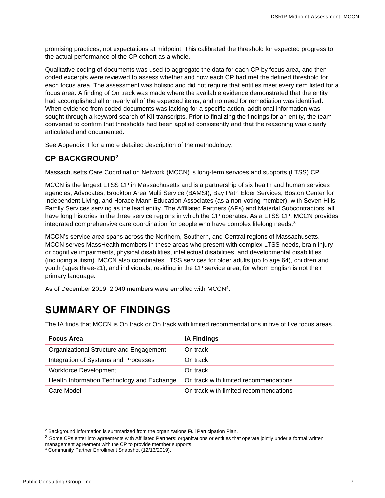promising practices, not expectations at midpoint. This calibrated the threshold for expected progress to the actual performance of the CP cohort as a whole.

Qualitative coding of documents was used to aggregate the data for each CP by focus area, and then coded excerpts were reviewed to assess whether and how each CP had met the defined threshold for each focus area. The assessment was holistic and did not require that entities meet every item listed for a focus area. A finding of On track was made where the available evidence demonstrated that the entity had accomplished all or nearly all of the expected items, and no need for remediation was identified. When evidence from coded documents was lacking for a specific action, additional information was sought through a keyword search of KII transcripts. Prior to finalizing the findings for an entity, the team convened to confirm that thresholds had been applied consistently and that the reasoning was clearly articulated and documented.

See Appendix II for a more detailed description of the methodology.

## <span id="page-7-0"></span>**CP BACKGROUND<sup>2</sup>**

Massachusetts Care Coordination Network (MCCN) is long-term services and supports (LTSS) CP.

MCCN is the largest LTSS CP in Massachusetts and is a partnership of six health and human services agencies, Advocates, Brockton Area Multi Service (BAMSI), Bay Path Elder Services, Boston Center for Independent Living, and Horace Mann Education Associates (as a non-voting member), with Seven Hills Family Services serving as the lead entity. The Affiliated Partners (APs) and Material Subcontractors, all have long histories in the three service regions in which the CP operates. As a LTSS CP, MCCN provides integrated comprehensive care coordination for people who have complex lifelong needs.<sup>3</sup>

MCCN's service area spans across the Northern, Southern, and Central regions of Massachusetts. MCCN serves MassHealth members in these areas who present with complex LTSS needs, brain injury or cognitive impairments, physical disabilities, intellectual disabilities, and developmental disabilities (including autism). MCCN also coordinates LTSS services for older adults (up to age 64), children and youth (ages three-21), and individuals, residing in the CP service area, for whom English is not their primary language.

As of December 2019, 2,040 members were enrolled with MCCN<sup>4</sup>.

## <span id="page-7-1"></span>**SUMMARY OF FINDINGS**

The IA finds that MCCN is On track or On track with limited recommendations in five of five focus areas..

| <b>Focus Area</b>                          | <b>IA Findings</b>                    |
|--------------------------------------------|---------------------------------------|
| Organizational Structure and Engagement    | On track                              |
| Integration of Systems and Processes       | On track                              |
| <b>Workforce Development</b>               | On track                              |
| Health Information Technology and Exchange | On track with limited recommendations |
| Care Model                                 | On track with limited recommendations |

<sup>&</sup>lt;sup>2</sup> Background information is summarized from the organizations Full Participation Plan.

<sup>&</sup>lt;sup>3</sup> Some CPs enter into agreements with Affiliated Partners: organizations or entities that operate jointly under a formal written management agreement with the CP to provide member supports.

<sup>4</sup> Community Partner Enrollment Snapshot (12/13/2019).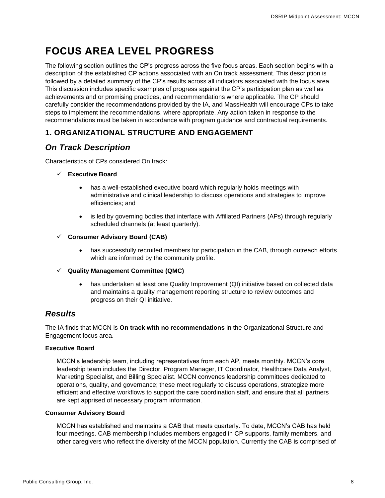## <span id="page-8-0"></span>**FOCUS AREA LEVEL PROGRESS**

The following section outlines the CP's progress across the five focus areas. Each section begins with a description of the established CP actions associated with an On track assessment. This description is followed by a detailed summary of the CP's results across all indicators associated with the focus area. This discussion includes specific examples of progress against the CP's participation plan as well as achievements and or promising practices, and recommendations where applicable. The CP should carefully consider the recommendations provided by the IA, and MassHealth will encourage CPs to take steps to implement the recommendations, where appropriate. Any action taken in response to the recommendations must be taken in accordance with program guidance and contractual requirements.

## <span id="page-8-1"></span>**1. ORGANIZATIONAL STRUCTURE AND ENGAGEMENT**

## <span id="page-8-2"></span>*On Track Description*

Characteristics of CPs considered On track:

#### ✓ **Executive Board**

- has a well-established executive board which regularly holds meetings with administrative and clinical leadership to discuss operations and strategies to improve efficiencies; and
- is led by governing bodies that interface with Affiliated Partners (APs) through regularly scheduled channels (at least quarterly).
- ✓ **Consumer Advisory Board (CAB)**
	- has successfully recruited members for participation in the CAB, through outreach efforts which are informed by the community profile.
- ✓ **Quality Management Committee (QMC)**
	- has undertaken at least one Quality Improvement (QI) initiative based on collected data and maintains a quality management reporting structure to review outcomes and progress on their QI initiative.

## <span id="page-8-3"></span>*Results*

The IA finds that MCCN is **On track with no recommendations** in the Organizational Structure and Engagement focus area.

#### **Executive Board**

MCCN's leadership team, including representatives from each AP, meets monthly. MCCN's core leadership team includes the Director, Program Manager, IT Coordinator, Healthcare Data Analyst, Marketing Specialist, and Billing Specialist. MCCN convenes leadership committees dedicated to operations, quality, and governance; these meet regularly to discuss operations, strategize more efficient and effective workflows to support the care coordination staff, and ensure that all partners are kept apprised of necessary program information.

#### **Consumer Advisory Board**

MCCN has established and maintains a CAB that meets quarterly. To date, MCCN's CAB has held four meetings. CAB membership includes members engaged in CP supports, family members, and other caregivers who reflect the diversity of the MCCN population. Currently the CAB is comprised of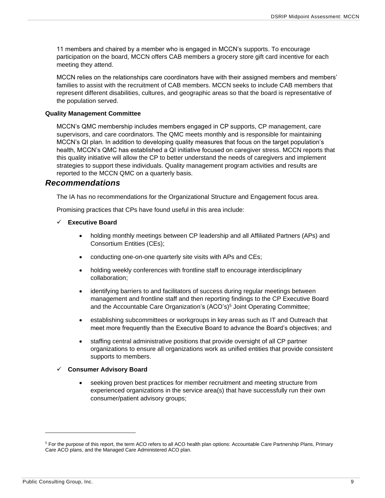11 members and chaired by a member who is engaged in MCCN's supports. To encourage participation on the board, MCCN offers CAB members a grocery store gift card incentive for each meeting they attend.

MCCN relies on the relationships care coordinators have with their assigned members and members' families to assist with the recruitment of CAB members. MCCN seeks to include CAB members that represent different disabilities, cultures, and geographic areas so that the board is representative of the population served.

#### **Quality Management Committee**

MCCN's QMC membership includes members engaged in CP supports, CP management, care supervisors, and care coordinators. The QMC meets monthly and is responsible for maintaining MCCN's QI plan. In addition to developing quality measures that focus on the target population's health, MCCN's QMC has established a QI initiative focused on caregiver stress. MCCN reports that this quality initiative will allow the CP to better understand the needs of caregivers and implement strategies to support these individuals. Quality management program activities and results are reported to the MCCN QMC on a quarterly basis.

### <span id="page-9-0"></span>*Recommendations*

The IA has no recommendations for the Organizational Structure and Engagement focus area.

Promising practices that CPs have found useful in this area include:

#### ✓ **Executive Board**

- holding monthly meetings between CP leadership and all Affiliated Partners (APs) and Consortium Entities (CEs);
- conducting one-on-one quarterly site visits with APs and CEs;
- holding weekly conferences with frontline staff to encourage interdisciplinary collaboration;
- identifying barriers to and facilitators of success during regular meetings between management and frontline staff and then reporting findings to the CP Executive Board and the Accountable Care Organization's (ACO's) <sup>5</sup> Joint Operating Committee;
- establishing subcommittees or workgroups in key areas such as IT and Outreach that meet more frequently than the Executive Board to advance the Board's objectives; and
- staffing central administrative positions that provide oversight of all CP partner organizations to ensure all organizations work as unified entities that provide consistent supports to members.

#### ✓ **Consumer Advisory Board**

• seeking proven best practices for member recruitment and meeting structure from experienced organizations in the service area(s) that have successfully run their own consumer/patient advisory groups;

<sup>&</sup>lt;sup>5</sup> For the purpose of this report, the term ACO refers to all ACO health plan options: Accountable Care Partnership Plans, Primary Care ACO plans, and the Managed Care Administered ACO plan.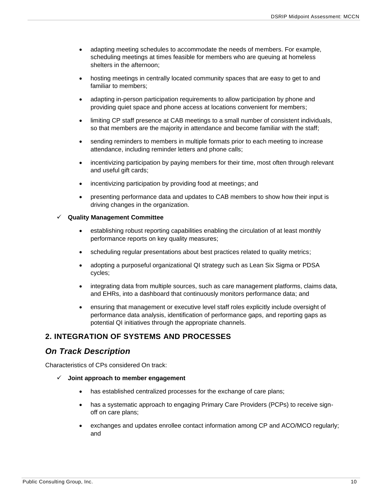- adapting meeting schedules to accommodate the needs of members. For example, scheduling meetings at times feasible for members who are queuing at homeless shelters in the afternoon;
- hosting meetings in centrally located community spaces that are easy to get to and familiar to members;
- adapting in-person participation requirements to allow participation by phone and providing quiet space and phone access at locations convenient for members;
- limiting CP staff presence at CAB meetings to a small number of consistent individuals, so that members are the majority in attendance and become familiar with the staff;
- sending reminders to members in multiple formats prior to each meeting to increase attendance, including reminder letters and phone calls;
- incentivizing participation by paying members for their time, most often through relevant and useful gift cards;
- incentivizing participation by providing food at meetings; and
- presenting performance data and updates to CAB members to show how their input is driving changes in the organization.

#### ✓ **Quality Management Committee**

- establishing robust reporting capabilities enabling the circulation of at least monthly performance reports on key quality measures;
- scheduling regular presentations about best practices related to quality metrics;
- adopting a purposeful organizational QI strategy such as Lean Six Sigma or PDSA cycles;
- integrating data from multiple sources, such as care management platforms, claims data, and EHRs, into a dashboard that continuously monitors performance data; and
- ensuring that management or executive level staff roles explicitly include oversight of performance data analysis, identification of performance gaps, and reporting gaps as potential QI initiatives through the appropriate channels.

## <span id="page-10-0"></span>**2. INTEGRATION OF SYSTEMS AND PROCESSES**

## <span id="page-10-1"></span>*On Track Description*

Characteristics of CPs considered On track:

- ✓ **Joint approach to member engagement**
	- has established centralized processes for the exchange of care plans;
	- has a systematic approach to engaging Primary Care Providers (PCPs) to receive signoff on care plans;
	- exchanges and updates enrollee contact information among CP and ACO/MCO regularly; and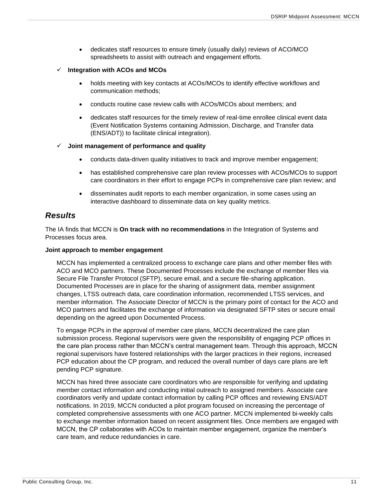• dedicates staff resources to ensure timely (usually daily) reviews of ACO/MCO spreadsheets to assist with outreach and engagement efforts.

#### ✓ **Integration with ACOs and MCOs**

- holds meeting with key contacts at ACOs/MCOs to identify effective workflows and communication methods;
- conducts routine case review calls with ACOs/MCOs about members; and
- dedicates staff resources for the timely review of real-time enrollee clinical event data (Event Notification Systems containing Admission, Discharge, and Transfer data (ENS/ADT)) to facilitate clinical integration).

#### ✓ **Joint management of performance and quality**

- conducts data-driven quality initiatives to track and improve member engagement;
- has established comprehensive care plan review processes with ACOs/MCOs to support care coordinators in their effort to engage PCPs in comprehensive care plan review; and
- disseminates audit reports to each member organization, in some cases using an interactive dashboard to disseminate data on key quality metrics.

## <span id="page-11-0"></span>*Results*

The IA finds that MCCN is **On track with no recommendations** in the Integration of Systems and Processes focus area.

#### **Joint approach to member engagement**

MCCN has implemented a centralized process to exchange care plans and other member files with ACO and MCO partners. These Documented Processes include the exchange of member files via Secure File Transfer Protocol (SFTP), secure email, and a secure file-sharing application. Documented Processes are in place for the sharing of assignment data, member assignment changes, LTSS outreach data, care coordination information, recommended LTSS services, and member information. The Associate Director of MCCN is the primary point of contact for the ACO and MCO partners and facilitates the exchange of information via designated SFTP sites or secure email depending on the agreed upon Documented Process.

To engage PCPs in the approval of member care plans, MCCN decentralized the care plan submission process. Regional supervisors were given the responsibility of engaging PCP offices in the care plan process rather than MCCN's central management team. Through this approach, MCCN regional supervisors have fostered relationships with the larger practices in their regions, increased PCP education about the CP program, and reduced the overall number of days care plans are left pending PCP signature.

MCCN has hired three associate care coordinators who are responsible for verifying and updating member contact information and conducting initial outreach to assigned members. Associate care coordinators verify and update contact information by calling PCP offices and reviewing ENS/ADT notifications. In 2019, MCCN conducted a pilot program focused on increasing the percentage of completed comprehensive assessments with one ACO partner. MCCN implemented bi-weekly calls to exchange member information based on recent assignment files. Once members are engaged with MCCN, the CP collaborates with ACOs to maintain member engagement, organize the member's care team, and reduce redundancies in care.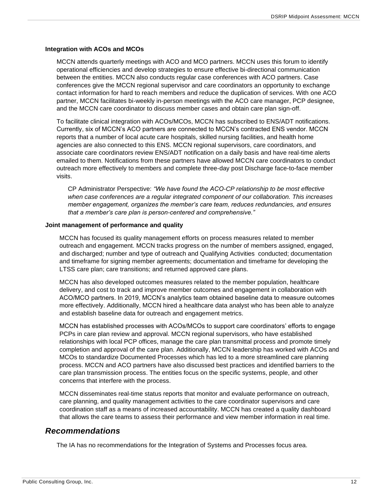#### **Integration with ACOs and MCOs**

MCCN attends quarterly meetings with ACO and MCO partners. MCCN uses this forum to identify operational efficiencies and develop strategies to ensure effective bi-directional communication between the entities. MCCN also conducts regular case conferences with ACO partners. Case conferences give the MCCN regional supervisor and care coordinators an opportunity to exchange contact information for hard to reach members and reduce the duplication of services. With one ACO partner, MCCN facilitates bi-weekly in-person meetings with the ACO care manager, PCP designee, and the MCCN care coordinator to discuss member cases and obtain care plan sign-off.

To facilitate clinical integration with ACOs/MCOs, MCCN has subscribed to ENS/ADT notifications. Currently, six of MCCN's ACO partners are connected to MCCN's contracted ENS vendor. MCCN reports that a number of local acute care hospitals, skilled nursing facilities, and health home agencies are also connected to this ENS. MCCN regional supervisors, care coordinators, and associate care coordinators review ENS/ADT notification on a daily basis and have real-time alerts emailed to them. Notifications from these partners have allowed MCCN care coordinators to conduct outreach more effectively to members and complete three-day post Discharge face-to-face member visits.

CP Administrator Perspective: *"We have found the ACO-CP relationship to be most effective when case conferences are a regular integrated component of our collaboration. This increases member engagement, organizes the member's care team, reduces redundancies, and ensures that a member's care plan is person-centered and comprehensive."*

#### **Joint management of performance and quality**

MCCN has focused its quality management efforts on process measures related to member outreach and engagement. MCCN tracks progress on the number of members assigned, engaged, and discharged; number and type of outreach and Qualifying Activities conducted; documentation and timeframe for signing member agreements; documentation and timeframe for developing the LTSS care plan; care transitions; and returned approved care plans.

MCCN has also developed outcomes measures related to the member population, healthcare delivery, and cost to track and improve member outcomes and engagement in collaboration with ACO/MCO partners. In 2019, MCCN's analytics team obtained baseline data to measure outcomes more effectively. Additionally, MCCN hired a healthcare data analyst who has been able to analyze and establish baseline data for outreach and engagement metrics.

MCCN has established processes with ACOs/MCOs to support care coordinators' efforts to engage PCPs in care plan review and approval. MCCN regional supervisors, who have established relationships with local PCP offices, manage the care plan transmittal process and promote timely completion and approval of the care plan. Additionally, MCCN leadership has worked with ACOs and MCOs to standardize Documented Processes which has led to a more streamlined care planning process. MCCN and ACO partners have also discussed best practices and identified barriers to the care plan transmission process. The entities focus on the specific systems, people, and other concerns that interfere with the process.

MCCN disseminates real-time status reports that monitor and evaluate performance on outreach, care planning, and quality management activities to the care coordinator supervisors and care coordination staff as a means of increased accountability. MCCN has created a quality dashboard that allows the care teams to assess their performance and view member information in real time.

## <span id="page-12-0"></span>*Recommendations*

The IA has no recommendations for the Integration of Systems and Processes focus area.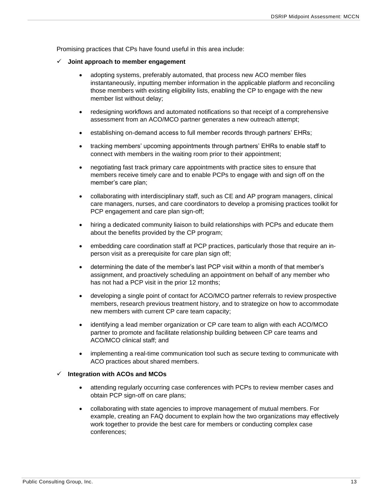Promising practices that CPs have found useful in this area include:

- ✓ **Joint approach to member engagement**
	- adopting systems, preferably automated, that process new ACO member files instantaneously, inputting member information in the applicable platform and reconciling those members with existing eligibility lists, enabling the CP to engage with the new member list without delay;
	- redesigning workflows and automated notifications so that receipt of a comprehensive assessment from an ACO/MCO partner generates a new outreach attempt;
	- establishing on-demand access to full member records through partners' EHRs;
	- tracking members' upcoming appointments through partners' EHRs to enable staff to connect with members in the waiting room prior to their appointment;
	- negotiating fast track primary care appointments with practice sites to ensure that members receive timely care and to enable PCPs to engage with and sign off on the member's care plan;
	- collaborating with interdisciplinary staff, such as CE and AP program managers, clinical care managers, nurses, and care coordinators to develop a promising practices toolkit for PCP engagement and care plan sign-off;
	- hiring a dedicated community liaison to build relationships with PCPs and educate them about the benefits provided by the CP program;
	- embedding care coordination staff at PCP practices, particularly those that require an inperson visit as a prerequisite for care plan sign off;
	- determining the date of the member's last PCP visit within a month of that member's assignment, and proactively scheduling an appointment on behalf of any member who has not had a PCP visit in the prior 12 months;
	- developing a single point of contact for ACO/MCO partner referrals to review prospective members, research previous treatment history, and to strategize on how to accommodate new members with current CP care team capacity;
	- identifying a lead member organization or CP care team to align with each ACO/MCO partner to promote and facilitate relationship building between CP care teams and ACO/MCO clinical staff; and
	- implementing a real-time communication tool such as secure texting to communicate with ACO practices about shared members.

#### ✓ **Integration with ACOs and MCOs**

- attending regularly occurring case conferences with PCPs to review member cases and obtain PCP sign-off on care plans;
- collaborating with state agencies to improve management of mutual members. For example, creating an FAQ document to explain how the two organizations may effectively work together to provide the best care for members or conducting complex case conferences;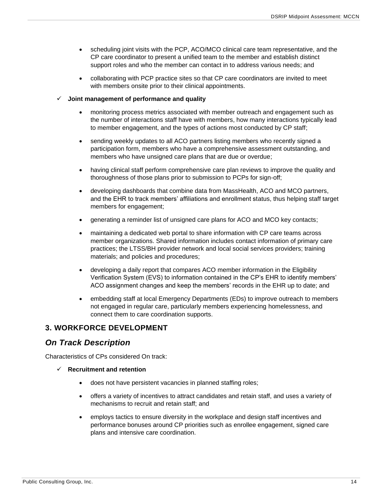- scheduling joint visits with the PCP, ACO/MCO clinical care team representative, and the CP care coordinator to present a unified team to the member and establish distinct support roles and who the member can contact in to address various needs; and
- collaborating with PCP practice sites so that CP care coordinators are invited to meet with members onsite prior to their clinical appointments.

#### ✓ **Joint management of performance and quality**

- monitoring process metrics associated with member outreach and engagement such as the number of interactions staff have with members, how many interactions typically lead to member engagement, and the types of actions most conducted by CP staff;
- sending weekly updates to all ACO partners listing members who recently signed a participation form, members who have a comprehensive assessment outstanding, and members who have unsigned care plans that are due or overdue;
- having clinical staff perform comprehensive care plan reviews to improve the quality and thoroughness of those plans prior to submission to PCPs for sign-off;
- developing dashboards that combine data from MassHealth, ACO and MCO partners, and the EHR to track members' affiliations and enrollment status, thus helping staff target members for engagement;
- generating a reminder list of unsigned care plans for ACO and MCO key contacts;
- maintaining a dedicated web portal to share information with CP care teams across member organizations. Shared information includes contact information of primary care practices; the LTSS/BH provider network and local social services providers; training materials; and policies and procedures;
- developing a daily report that compares ACO member information in the Eligibility Verification System (EVS) to information contained in the CP's EHR to identify members' ACO assignment changes and keep the members' records in the EHR up to date; and
- embedding staff at local Emergency Departments (EDs) to improve outreach to members not engaged in regular care, particularly members experiencing homelessness, and connect them to care coordination supports.

## <span id="page-14-0"></span>**3. WORKFORCE DEVELOPMENT**

## <span id="page-14-1"></span>*On Track Description*

Characteristics of CPs considered On track:

- ✓ **Recruitment and retention**
	- does not have persistent vacancies in planned staffing roles;
	- offers a variety of incentives to attract candidates and retain staff, and uses a variety of mechanisms to recruit and retain staff; and
	- employs tactics to ensure diversity in the workplace and design staff incentives and performance bonuses around CP priorities such as enrollee engagement, signed care plans and intensive care coordination.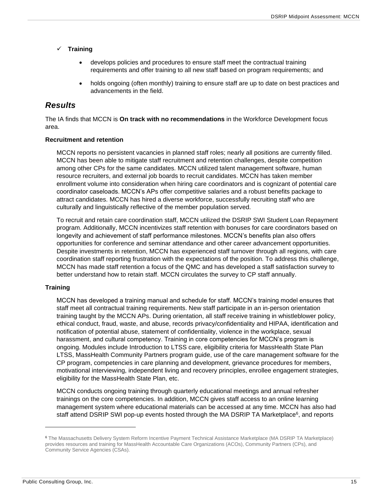- ✓ **Training**
	- develops policies and procedures to ensure staff meet the contractual training requirements and offer training to all new staff based on program requirements; and
	- holds ongoing (often monthly) training to ensure staff are up to date on best practices and advancements in the field.

## <span id="page-15-0"></span>*Results*

The IA finds that MCCN is **On track with no recommendations** in the Workforce Development focus area.

#### **Recruitment and retention**

MCCN reports no persistent vacancies in planned staff roles; nearly all positions are currently filled. MCCN has been able to mitigate staff recruitment and retention challenges, despite competition among other CPs for the same candidates. MCCN utilized talent management software, human resource recruiters, and external job boards to recruit candidates. MCCN has taken member enrollment volume into consideration when hiring care coordinators and is cognizant of potential care coordinator caseloads. MCCN's APs offer competitive salaries and a robust benefits package to attract candidates. MCCN has hired a diverse workforce, successfully recruiting staff who are culturally and linguistically reflective of the member population served.

To recruit and retain care coordination staff, MCCN utilized the DSRIP SWI Student Loan Repayment program. Additionally, MCCN incentivizes staff retention with bonuses for care coordinators based on longevity and achievement of staff performance milestones. MCCN's benefits plan also offers opportunities for conference and seminar attendance and other career advancement opportunities. Despite investments in retention, MCCN has experienced staff turnover through all regions, with care coordination staff reporting frustration with the expectations of the position. To address this challenge, MCCN has made staff retention a focus of the QMC and has developed a staff satisfaction survey to better understand how to retain staff. MCCN circulates the survey to CP staff annually.

### **Training**

MCCN has developed a training manual and schedule for staff. MCCN's training model ensures that staff meet all contractual training requirements. New staff participate in an in-person orientation training taught by the MCCN APs. During orientation, all staff receive training in whistleblower policy, ethical conduct, fraud, waste, and abuse, records privacy/confidentiality and HIPAA, identification and notification of potential abuse, statement of confidentiality, violence in the workplace, sexual harassment, and cultural competency. Training in core competencies for MCCN's program is ongoing. Modules include Introduction to LTSS care, eligibility criteria for MassHealth State Plan LTSS, MassHealth Community Partners program guide, use of the care management software for the CP program, competencies in care planning and development, grievance procedures for members, motivational interviewing, independent living and recovery principles, enrollee engagement strategies, eligibility for the MassHealth State Plan, etc.

MCCN conducts ongoing training through quarterly educational meetings and annual refresher trainings on the core competencies. In addition, MCCN gives staff access to an online learning management system where educational materials can be accessed at any time. MCCN has also had staff attend DSRIP SWI pop-up events hosted through the MA DSRIP TA Marketplace<sup>6</sup>, and reports

<sup>6</sup> The Massachusetts Delivery System Reform Incentive Payment Technical Assistance Marketplace (MA DSRIP TA Marketplace) provides resources and training for MassHealth Accountable Care Organizations (ACOs), Community Partners (CPs), and Community Service Agencies (CSAs).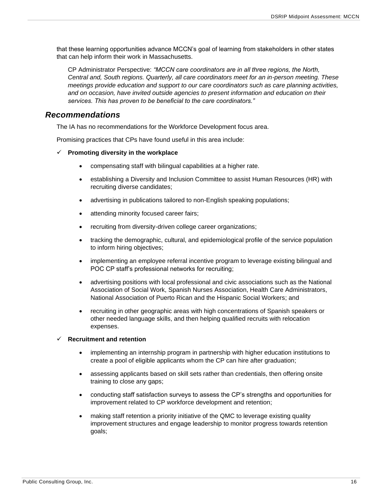that these learning opportunities advance MCCN's goal of learning from stakeholders in other states that can help inform their work in Massachusetts.

CP Administrator Perspective: *"MCCN care coordinators are in all three regions, the North, Central and, South regions. Quarterly, all care coordinators meet for an in-person meeting. These meetings provide education and support to our care coordinators such as care planning activities, and on occasion, have invited outside agencies to present information and education on their services. This has proven to be beneficial to the care coordinators."*

## <span id="page-16-0"></span>*Recommendations*

The IA has no recommendations for the Workforce Development focus area.

Promising practices that CPs have found useful in this area include:

#### ✓ **Promoting diversity in the workplace**

- compensating staff with bilingual capabilities at a higher rate.
- establishing a Diversity and Inclusion Committee to assist Human Resources (HR) with recruiting diverse candidates;
- advertising in publications tailored to non-English speaking populations;
- attending minority focused career fairs;
- recruiting from diversity-driven college career organizations;
- tracking the demographic, cultural, and epidemiological profile of the service population to inform hiring objectives;
- implementing an employee referral incentive program to leverage existing bilingual and POC CP staff's professional networks for recruiting;
- advertising positions with local professional and civic associations such as the National Association of Social Work, Spanish Nurses Association, Health Care Administrators, National Association of Puerto Rican and the Hispanic Social Workers; and
- recruiting in other geographic areas with high concentrations of Spanish speakers or other needed language skills, and then helping qualified recruits with relocation expenses.

#### ✓ **Recruitment and retention**

- implementing an internship program in partnership with higher education institutions to create a pool of eligible applicants whom the CP can hire after graduation;
- assessing applicants based on skill sets rather than credentials, then offering onsite training to close any gaps;
- conducting staff satisfaction surveys to assess the CP's strengths and opportunities for improvement related to CP workforce development and retention;
- making staff retention a priority initiative of the QMC to leverage existing quality improvement structures and engage leadership to monitor progress towards retention goals;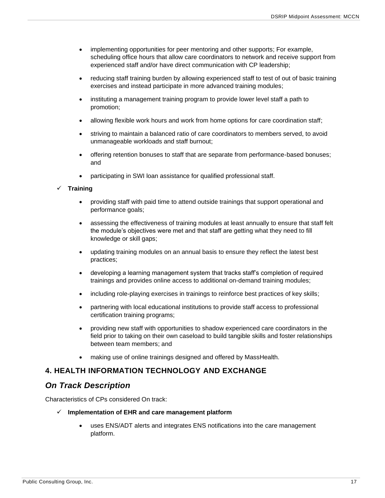- implementing opportunities for peer mentoring and other supports; For example, scheduling office hours that allow care coordinators to network and receive support from experienced staff and/or have direct communication with CP leadership;
- reducing staff training burden by allowing experienced staff to test of out of basic training exercises and instead participate in more advanced training modules;
- instituting a management training program to provide lower level staff a path to promotion;
- allowing flexible work hours and work from home options for care coordination staff;
- striving to maintain a balanced ratio of care coordinators to members served, to avoid unmanageable workloads and staff burnout;
- offering retention bonuses to staff that are separate from performance-based bonuses; and
- participating in SWI loan assistance for qualified professional staff.

#### ✓ **Training**

- providing staff with paid time to attend outside trainings that support operational and performance goals;
- assessing the effectiveness of training modules at least annually to ensure that staff felt the module's objectives were met and that staff are getting what they need to fill knowledge or skill gaps;
- updating training modules on an annual basis to ensure they reflect the latest best practices;
- developing a learning management system that tracks staff's completion of required trainings and provides online access to additional on-demand training modules;
- including role-playing exercises in trainings to reinforce best practices of key skills;
- partnering with local educational institutions to provide staff access to professional certification training programs;
- providing new staff with opportunities to shadow experienced care coordinators in the field prior to taking on their own caseload to build tangible skills and foster relationships between team members; and
- making use of online trainings designed and offered by MassHealth.

## <span id="page-17-0"></span>**4. HEALTH INFORMATION TECHNOLOGY AND EXCHANGE**

## <span id="page-17-1"></span>*On Track Description*

Characteristics of CPs considered On track:

#### ✓ **Implementation of EHR and care management platform**

• uses ENS/ADT alerts and integrates ENS notifications into the care management platform.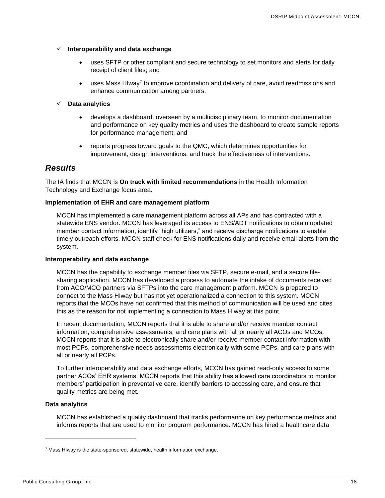#### ✓ **Interoperability and data exchange**

- uses SFTP or other compliant and secure technology to set monitors and alerts for daily receipt of client files; and
- $\bullet$  uses Mass HIway<sup>7</sup> to improve coordination and delivery of care, avoid readmissions and enhance communication among partners.

#### ✓ **Data analytics**

- develops a dashboard, overseen by a multidisciplinary team, to monitor documentation and performance on key quality metrics and uses the dashboard to create sample reports for performance management; and
- reports progress toward goals to the QMC, which determines opportunities for improvement, design interventions, and track the effectiveness of interventions.

## <span id="page-18-0"></span>*Results*

The IA finds that MCCN is **On track with limited recommendations** in the Health Information Technology and Exchange focus area.

#### **Implementation of EHR and care management platform**

MCCN has implemented a care management platform across all APs and has contracted with a statewide ENS vendor. MCCN has leveraged its access to ENS/ADT notifications to obtain updated member contact information, identify "high utilizers," and receive discharge notifications to enable timely outreach efforts. MCCN staff check for ENS notifications daily and receive email alerts from the system.

#### **Interoperability and data exchange**

MCCN has the capability to exchange member files via SFTP, secure e-mail, and a secure filesharing application. MCCN has developed a process to automate the intake of documents received from ACO/MCO partners via SFTPs into the care management platform. MCCN is prepared to connect to the Mass HIway but has not yet operationalized a connection to this system. MCCN reports that the MCOs have not confirmed that this method of communication will be used and cites this as the reason for not implementing a connection to Mass HIway at this point.

In recent documentation, MCCN reports that it is able to share and/or receive member contact information, comprehensive assessments, and care plans with all or nearly all ACOs and MCOs. MCCN reports that it is able to electronically share and/or receive member contact information with most PCPs, comprehensive needs assessments electronically with some PCPs, and care plans with all or nearly all PCPs.

To further interoperability and data exchange efforts, MCCN has gained read-only access to some partner ACOs' EHR systems. MCCN reports that this ability has allowed care coordinators to monitor members' participation in preventative care, identify barriers to accessing care, and ensure that quality metrics are being met.

#### **Data analytics**

MCCN has established a quality dashboard that tracks performance on key performance metrics and informs reports that are used to monitor program performance. MCCN has hired a healthcare data

 $7$  Mass HIway is the state-sponsored, statewide, health information exchange.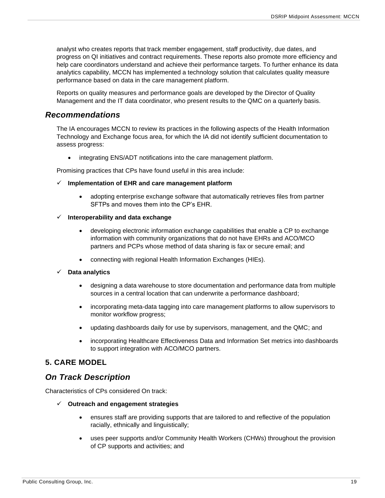analyst who creates reports that track member engagement, staff productivity, due dates, and progress on QI initiatives and contract requirements. These reports also promote more efficiency and help care coordinators understand and achieve their performance targets. To further enhance its data analytics capability, MCCN has implemented a technology solution that calculates quality measure performance based on data in the care management platform.

Reports on quality measures and performance goals are developed by the Director of Quality Management and the IT data coordinator, who present results to the QMC on a quarterly basis.

## <span id="page-19-0"></span>*Recommendations*

The IA encourages MCCN to review its practices in the following aspects of the Health Information Technology and Exchange focus area, for which the IA did not identify sufficient documentation to assess progress:

• integrating ENS/ADT notifications into the care management platform.

Promising practices that CPs have found useful in this area include:

#### ✓ **Implementation of EHR and care management platform**

• adopting enterprise exchange software that automatically retrieves files from partner SFTPs and moves them into the CP's EHR.

#### ✓ **Interoperability and data exchange**

- developing electronic information exchange capabilities that enable a CP to exchange information with community organizations that do not have EHRs and ACO/MCO partners and PCPs whose method of data sharing is fax or secure email; and
- connecting with regional Health Information Exchanges (HIEs).

#### ✓ **Data analytics**

- designing a data warehouse to store documentation and performance data from multiple sources in a central location that can underwrite a performance dashboard;
- incorporating meta-data tagging into care management platforms to allow supervisors to monitor workflow progress;
- updating dashboards daily for use by supervisors, management, and the QMC; and
- incorporating Healthcare Effectiveness Data and Information Set metrics into dashboards to support integration with ACO/MCO partners.

### <span id="page-19-1"></span>**5. CARE MODEL**

## <span id="page-19-2"></span>*On Track Description*

Characteristics of CPs considered On track:

- ✓ **Outreach and engagement strategies**
	- ensures staff are providing supports that are tailored to and reflective of the population racially, ethnically and linguistically;
	- uses peer supports and/or Community Health Workers (CHWs) throughout the provision of CP supports and activities; and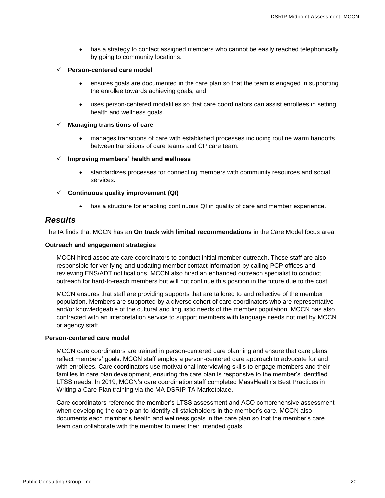• has a strategy to contact assigned members who cannot be easily reached telephonically by going to community locations.

#### ✓ **Person-centered care model**

- ensures goals are documented in the care plan so that the team is engaged in supporting the enrollee towards achieving goals; and
- uses person-centered modalities so that care coordinators can assist enrollees in setting health and wellness goals.

#### **Managing transitions of care**

• manages transitions of care with established processes including routine warm handoffs between transitions of care teams and CP care team.

#### ✓ **Improving members' health and wellness**

• standardizes processes for connecting members with community resources and social services.

#### ✓ **Continuous quality improvement (QI)**

has a structure for enabling continuous QI in quality of care and member experience.

### <span id="page-20-0"></span>*Results*

The IA finds that MCCN has an **On track with limited recommendations** in the Care Model focus area.

#### **Outreach and engagement strategies**

MCCN hired associate care coordinators to conduct initial member outreach. These staff are also responsible for verifying and updating member contact information by calling PCP offices and reviewing ENS/ADT notifications. MCCN also hired an enhanced outreach specialist to conduct outreach for hard-to-reach members but will not continue this position in the future due to the cost.

MCCN ensures that staff are providing supports that are tailored to and reflective of the member population. Members are supported by a diverse cohort of care coordinators who are representative and/or knowledgeable of the cultural and linguistic needs of the member population. MCCN has also contracted with an interpretation service to support members with language needs not met by MCCN or agency staff.

#### **Person-centered care model**

MCCN care coordinators are trained in person-centered care planning and ensure that care plans reflect members' goals. MCCN staff employ a person-centered care approach to advocate for and with enrollees. Care coordinators use motivational interviewing skills to engage members and their families in care plan development, ensuring the care plan is responsive to the member's identified LTSS needs. In 2019, MCCN's care coordination staff completed MassHealth's Best Practices in Writing a Care Plan training via the MA DSRIP TA Marketplace.

Care coordinators reference the member's LTSS assessment and ACO comprehensive assessment when developing the care plan to identify all stakeholders in the member's care. MCCN also documents each member's health and wellness goals in the care plan so that the member's care team can collaborate with the member to meet their intended goals.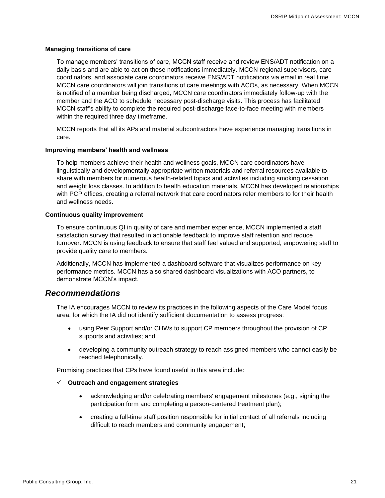#### **Managing transitions of care**

To manage members' transitions of care, MCCN staff receive and review ENS/ADT notification on a daily basis and are able to act on these notifications immediately. MCCN regional supervisors, care coordinators, and associate care coordinators receive ENS/ADT notifications via email in real time. MCCN care coordinators will join transitions of care meetings with ACOs, as necessary. When MCCN is notified of a member being discharged, MCCN care coordinators immediately follow-up with the member and the ACO to schedule necessary post-discharge visits. This process has facilitated MCCN staff's ability to complete the required post-discharge face-to-face meeting with members within the required three day timeframe.

MCCN reports that all its APs and material subcontractors have experience managing transitions in care.

#### **Improving members' health and wellness**

To help members achieve their health and wellness goals, MCCN care coordinators have linguistically and developmentally appropriate written materials and referral resources available to share with members for numerous health-related topics and activities including smoking cessation and weight loss classes. In addition to health education materials, MCCN has developed relationships with PCP offices, creating a referral network that care coordinators refer members to for their health and wellness needs.

#### **Continuous quality improvement**

To ensure continuous QI in quality of care and member experience, MCCN implemented a staff satisfaction survey that resulted in actionable feedback to improve staff retention and reduce turnover. MCCN is using feedback to ensure that staff feel valued and supported, empowering staff to provide quality care to members.

Additionally, MCCN has implemented a dashboard software that visualizes performance on key performance metrics. MCCN has also shared dashboard visualizations with ACO partners, to demonstrate MCCN's impact.

### <span id="page-21-0"></span>*Recommendations*

The IA encourages MCCN to review its practices in the following aspects of the Care Model focus area, for which the IA did not identify sufficient documentation to assess progress:

- using Peer Support and/or CHWs to support CP members throughout the provision of CP supports and activities; and
- developing a community outreach strategy to reach assigned members who cannot easily be reached telephonically.

Promising practices that CPs have found useful in this area include:

#### ✓ **Outreach and engagement strategies**

- acknowledging and/or celebrating members' engagement milestones (e.g., signing the participation form and completing a person-centered treatment plan);
- creating a full-time staff position responsible for initial contact of all referrals including difficult to reach members and community engagement;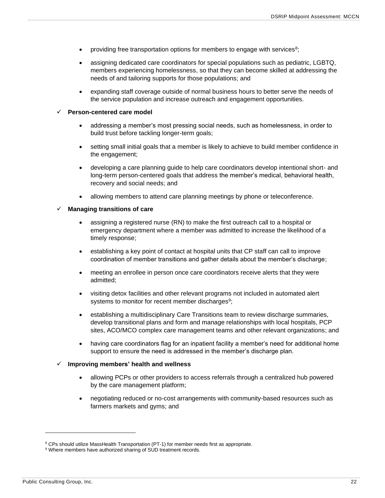- providing free transportation options for members to engage with services<sup>8</sup>;
- assigning dedicated care coordinators for special populations such as pediatric, LGBTQ, members experiencing homelessness, so that they can become skilled at addressing the needs of and tailoring supports for those populations; and
- expanding staff coverage outside of normal business hours to better serve the needs of the service population and increase outreach and engagement opportunities.

#### **Person-centered care model**

- addressing a member's most pressing social needs, such as homelessness, in order to build trust before tackling longer-term goals;
- setting small initial goals that a member is likely to achieve to build member confidence in the engagement;
- developing a care planning guide to help care coordinators develop intentional short- and long-term person-centered goals that address the member's medical, behavioral health, recovery and social needs; and
- allowing members to attend care planning meetings by phone or teleconference.

#### ✓ **Managing transitions of care**

- assigning a registered nurse (RN) to make the first outreach call to a hospital or emergency department where a member was admitted to increase the likelihood of a timely response;
- establishing a key point of contact at hospital units that CP staff can call to improve coordination of member transitions and gather details about the member's discharge;
- meeting an enrollee in person once care coordinators receive alerts that they were admitted;
- visiting detox facilities and other relevant programs not included in automated alert systems to monitor for recent member discharges<sup>9</sup>;
- establishing a multidisciplinary Care Transitions team to review discharge summaries, develop transitional plans and form and manage relationships with local hospitals, PCP sites, ACO/MCO complex care management teams and other relevant organizations; and
- having care coordinators flag for an inpatient facility a member's need for additional home support to ensure the need is addressed in the member's discharge plan.

#### ✓ **Improving members' health and wellness**

- allowing PCPs or other providers to access referrals through a centralized hub powered by the care management platform;
- negotiating reduced or no-cost arrangements with community-based resources such as farmers markets and gyms; and

<sup>&</sup>lt;sup>8</sup> CPs should utilize MassHealth Transportation (PT-1) for member needs first as appropriate.

<sup>&</sup>lt;sup>9</sup> Where members have authorized sharing of SUD treatment records.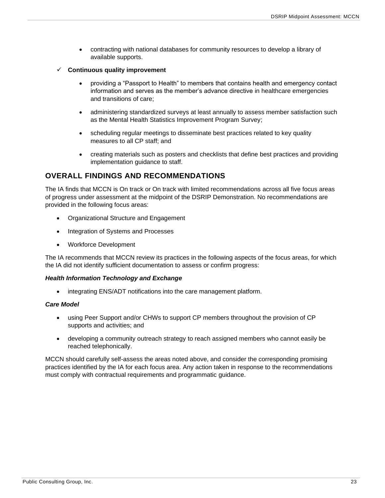- contracting with national databases for community resources to develop a library of available supports.
- ✓ **Continuous quality improvement**
	- providing a "Passport to Health" to members that contains health and emergency contact information and serves as the member's advance directive in healthcare emergencies and transitions of care;
	- administering standardized surveys at least annually to assess member satisfaction such as the Mental Health Statistics Improvement Program Survey;
	- scheduling regular meetings to disseminate best practices related to key quality measures to all CP staff; and
	- creating materials such as posters and checklists that define best practices and providing implementation guidance to staff.

## <span id="page-23-0"></span>**OVERALL FINDINGS AND RECOMMENDATIONS**

The IA finds that MCCN is On track or On track with limited recommendations across all five focus areas of progress under assessment at the midpoint of the DSRIP Demonstration. No recommendations are provided in the following focus areas:

- Organizational Structure and Engagement
- Integration of Systems and Processes
- Workforce Development

The IA recommends that MCCN review its practices in the following aspects of the focus areas, for which the IA did not identify sufficient documentation to assess or confirm progress:

#### *Health Information Technology and Exchange*

• integrating ENS/ADT notifications into the care management platform.

#### *Care Model*

- using Peer Support and/or CHWs to support CP members throughout the provision of CP supports and activities; and
- developing a community outreach strategy to reach assigned members who cannot easily be reached telephonically.

MCCN should carefully self-assess the areas noted above, and consider the corresponding promising practices identified by the IA for each focus area. Any action taken in response to the recommendations must comply with contractual requirements and programmatic guidance.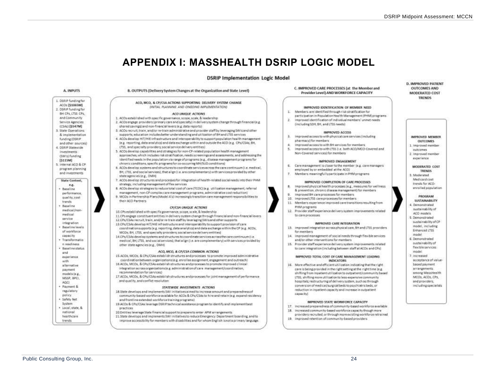## **APPENDIX I: MASSHEALTH DSRIP LOGIC MODEL**

#### **DSRIP Implementation Logic Model**

<span id="page-24-0"></span>

#### B. OUTPUTS (Delivery System Changes at the Organization and State Level) ACO, MCO, & CP/CSA ACTIONS SUPPORTING DELIVERY SYSTEM CHANGE INITIAL PLANNING AND ONGOING IMPLEMENTATIONS ¥. ACO UNIQUE ACTIONS 1. ACOs established with specific governance, scope, scale, & leadership W. 2. ACOs engage providers (primary care and specialty) in delivery system change through financial (e.g. shared savings) and non-financial levers (e.g. data reports) 8. ACDs recruit, train, and/or re-train administrative and provider staff by leveraging SWIs and other supports, education includes better understanding and utilization of BH and LTSS services ×. 4. ACOs develop HIT/HIE infrastructure and interpoerability to support population health management le z. reporting, data analytics) and data exchange within and outside the ACO (e.g., CPs/CSAs; BH, LTSS, and specially providers; social service delivery entities). 5. ACOs develop capabilities and strategies for non-CP-related population health management approaches, which includes risk stratification, needs screenings and assessments, and addressing the identified needs in the copulation via range of programs (e.g., disease management programs for chronic conditions, specific programs for co-occurring MH/SUD conditions) 6. 6. ACOs develop systems and structures to coordinate services across the care continuum (i.e. medical, BH, LTSS, and social services), that align (i.e. are complementary) with services provided by other 7. ACOs develop structures and processes for integration of health-related social needs into their PHM R. 8. ACOs develop strategies to reduce total cost of care (TCOC) (e.g. utilization management, referral management, non-CP complex care management programs, administrative cost reduction)  $\alpha$ 9. MCDs in Partnership Plans(Model A's) increasingly transition care management responsibilities to PHM programs CP/CSA UNIQUE ACTIONS 10.CPs established with specific governance, scope, scale. & leadership 11.CPs engage constituent entities in delivery system change through financial and non-financial levers 12 CPs/CSAs recruit train, and/or re-train staff by leveraging SWIs and other supports 13 CPs/CSAs develop HIT/HIE infrastructure and interoperability to support provision of care coordination supports (e.g. reporting, data analytics) and data exchange within the CP (e.g. ACOs, MCDs; BH, LTSS, and specially providers; social service delivery entities) for members. 34. 14 CPs/CSAs develop systems and structures to coordinate services across the care continuum (i.e. medical, BH, LTSS, and social services), that align (i.e. are complementary) with services provided by ACO, MCO, & CP/CSA COMMON ACTIONS 15.4COs, MCOs, & CPs/CSAs establish structures and processes to promote improved administrative coordination between organizations (e.g. enrollee assignment, engagement and outreach) 16.ACOs, MCOs, & CPs/CSAs establish structures and processes to promote improved clinical integration acrossorganizations (e.g. administration of care management/coordination, 17 ACOs, MCOs, & CPs/CSAs establish structures and processes for joint management of performance

#### STATEWIDE INVESTMENTS ACTIONS

- 18.State develops and implements SWI initiatives almed to increase amount and preparedness of community-based workforce available for ACOs & CPs/CSAs to hire and retain (e.g. expand residency and frontline extended workforce training programs)
- 19 ACOs & CPs/CSAs leverage OSR(P technical assistance program to identify and implement best
- 20 Entities leverage State financial support to prepare to enter APM arrangements
- 21 State develops and implements SWI initiatives to reduce Emergency Department boarding, and to improve accessibility for members with disabilities and for whom English isnot a primary language.

C. IMPROVED CARE PROCESSES (at the Member and Provider Level) AND WORKFORCE CAPACITY

#### IMPROVED IDENTIFICATION OF MEMBER NEED.

- Members are identified through risk stratification for
- participation in Population Health Management (PHM) programs Improved identification of individual members' unmet needs
- (including SDH, BH, and LTSS needs)

#### **IMPROVED ACCESS**

- Improved access to with physical care services (including pharmacy) for members:
- Improved access to with BH services for members
- improved access to with LT55 ii.e. both ACO/MCO-Covered and Non-Covered services) for members

#### IMPROVED ENGAGEMENT

- Care management is closer to the member (e.g. care managers
- employed by ar embedded at the ACO)
- Members meaningfullyparticipate in PHM programs.

#### IMPROVED COMPLETION OF CARE PROCESSES

- Improved physical health processes (e.g., measures for wellness & eraspection, chennic disease management) for members
- Improved SH care processes for members.
- 10. Improved LT35 care processes for members
- 11. Members experience improved core transitions resulting from
- 12. Provider staff experience delivery system improvements related to care processes

#### IMPROVED CARE INTEGRATION

- 13. Improved integration across physical care, 6H and LTSS providers.
- improved management of social needs through flexible services and/or other interventions for members
- 15. Provider staff experience delivery system improvements related to care integration (including between staff at ACOs and CPs)

#### IMPROVED TOTAL COST OF CARE MANAGEMENT LEADING **INDICATORS**

16. More effective and efficient utilization indicating that the right care is being provided in the right setting at the right time (e.g. shifting from inpatient utilization to outpatient/community based LTSS: shifting more utilization to less-expensive community hospitals; restructuring of delivery system, such as through conversion of medical/surgical beds to psychiatric beds, or reduction in inpatient capacity and increase in outpatient canacityl

#### IMPROVED STATE WORKFORCE CAPACITY

- 17. Increased preparedness of community-based workforce available 18. Increased community-based workforce capacity though more
- providers recruited, or through more existing workforce retrained
- 19. Improved retention of community-based providers

#### **D. IMPROVED PATIENT OUTCOMES AND MODERATED COST TRENDS**



- 1. Improved mambar
- nutcomes 2. Improved member
- experience
- MODERATED COST **TRENDS** R. Moderatorf Medicaid cost
- trends for ACOenrolled population
- PROGRAM **SUSTAINABILITY**
- 4. Demonstrated sustainability of ACO models
- 5. Demonstrated sustainability of CP
- model, including Enhanced LTSS
- model
- 6. Demonstrated
- custainability of flexible services
- model
- 7 Increased
- acceptance of value-
- based payment
- arrangements among MassHealth
- MCOs, ACOs, CPs.
- and providers. including specialists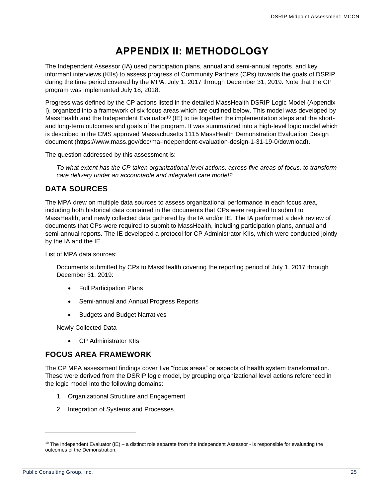## **APPENDIX II: METHODOLOGY**

<span id="page-25-0"></span>The Independent Assessor (IA) used participation plans, annual and semi-annual reports, and key informant interviews (KIIs) to assess progress of Community Partners (CPs) towards the goals of DSRIP during the time period covered by the MPA, July 1, 2017 through December 31, 2019. Note that the CP program was implemented July 18, 2018.

Progress was defined by the CP actions listed in the detailed MassHealth DSRIP Logic Model (Appendix I), organized into a framework of six focus areas which are outlined below. This model was developed by MassHealth and the Independent Evaluator<sup>10</sup> (IE) to tie together the implementation steps and the shortand long-term outcomes and goals of the program. It was summarized into a high-level logic model which is described in the CMS approved Massachusetts 1115 MassHealth Demonstration Evaluation Design document [\(https://www.mass.gov/doc/ma-independent-evaluation-design-1-31-19-0/download\)](https://www.mass.gov/doc/ma-independent-evaluation-design-1-31-19-0/download).

The question addressed by this assessment is:

*To what extent has the CP taken organizational level actions, across five areas of focus, to transform care delivery under an accountable and integrated care model?*

## <span id="page-25-1"></span>**DATA SOURCES**

The MPA drew on multiple data sources to assess organizational performance in each focus area, including both historical data contained in the documents that CPs were required to submit to MassHealth, and newly collected data gathered by the IA and/or IE. The IA performed a desk review of documents that CPs were required to submit to MassHealth, including participation plans, annual and semi-annual reports. The IE developed a protocol for CP Administrator KIIs, which were conducted jointly by the IA and the IE.

List of MPA data sources:

Documents submitted by CPs to MassHealth covering the reporting period of July 1, 2017 through December 31, 2019:

- Full Participation Plans
- Semi-annual and Annual Progress Reports
- Budgets and Budget Narratives

Newly Collected Data

• CP Administrator KIIs

### <span id="page-25-2"></span>**FOCUS AREA FRAMEWORK**

The CP MPA assessment findings cover five "focus areas" or aspects of health system transformation. These were derived from the DSRIP logic model, by grouping organizational level actions referenced in the logic model into the following domains:

- 1. Organizational Structure and Engagement
- 2. Integration of Systems and Processes

 $10$  The Independent Evaluator (IE) – a distinct role separate from the Independent Assessor - is responsible for evaluating the outcomes of the Demonstration.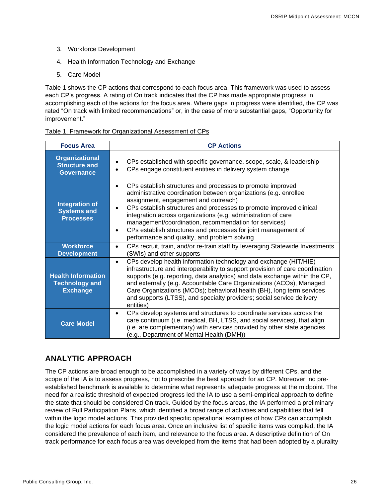- 3. Workforce Development
- 4. Health Information Technology and Exchange
- 5. Care Model

Table 1 shows the CP actions that correspond to each focus area. This framework was used to assess each CP's progress. A rating of On track indicates that the CP has made appropriate progress in accomplishing each of the actions for the focus area. Where gaps in progress were identified, the CP was rated "On track with limited recommendations" or, in the case of more substantial gaps, "Opportunity for improvement."

| Table 1. Framework for Organizational Assessment of CPs |
|---------------------------------------------------------|
|---------------------------------------------------------|

| <b>Focus Area</b>                                                     | <b>CP Actions</b>                                                                                                                                                                                                                                                                                                                                                                                                                                                                                                                |
|-----------------------------------------------------------------------|----------------------------------------------------------------------------------------------------------------------------------------------------------------------------------------------------------------------------------------------------------------------------------------------------------------------------------------------------------------------------------------------------------------------------------------------------------------------------------------------------------------------------------|
| <b>Organizational</b><br><b>Structure and</b><br><b>Governance</b>    | CPs established with specific governance, scope, scale, & leadership<br>CPs engage constituent entities in delivery system change                                                                                                                                                                                                                                                                                                                                                                                                |
| <b>Integration of</b><br><b>Systems and</b><br><b>Processes</b>       | CPs establish structures and processes to promote improved<br>$\bullet$<br>administrative coordination between organizations (e.g. enrollee<br>assignment, engagement and outreach)<br>CPs establish structures and processes to promote improved clinical<br>$\bullet$<br>integration across organizations (e.g. administration of care<br>management/coordination, recommendation for services)<br>CPs establish structures and processes for joint management of<br>$\bullet$<br>performance and quality, and problem solving |
| <b>Workforce</b><br><b>Development</b>                                | CPs recruit, train, and/or re-train staff by leveraging Statewide Investments<br>(SWIs) and other supports                                                                                                                                                                                                                                                                                                                                                                                                                       |
| <b>Health Information</b><br><b>Technology and</b><br><b>Exchange</b> | CPs develop health information technology and exchange (HIT/HIE)<br>$\bullet$<br>infrastructure and interoperability to support provision of care coordination<br>supports (e.g. reporting, data analytics) and data exchange within the CP,<br>and externally (e.g. Accountable Care Organizations (ACOs), Managed<br>Care Organizations (MCOs); behavioral health (BH), long term services<br>and supports (LTSS), and specialty providers; social service delivery<br>entities)                                               |
| <b>Care Model</b>                                                     | CPs develop systems and structures to coordinate services across the<br>$\bullet$<br>care continuum (i.e. medical, BH, LTSS, and social services), that align<br>(i.e. are complementary) with services provided by other state agencies<br>(e.g., Department of Mental Health (DMH))                                                                                                                                                                                                                                            |

## <span id="page-26-0"></span>**ANALYTIC APPROACH**

The CP actions are broad enough to be accomplished in a variety of ways by different CPs, and the scope of the IA is to assess progress, not to prescribe the best approach for an CP. Moreover, no preestablished benchmark is available to determine what represents adequate progress at the midpoint. The need for a realistic threshold of expected progress led the IA to use a semi-empirical approach to define the state that should be considered On track. Guided by the focus areas, the IA performed a preliminary review of Full Participation Plans, which identified a broad range of activities and capabilities that fell within the logic model actions. This provided specific operational examples of how CPs can accomplish the logic model actions for each focus area. Once an inclusive list of specific items was compiled, the IA considered the prevalence of each item, and relevance to the focus area. A descriptive definition of On track performance for each focus area was developed from the items that had been adopted by a plurality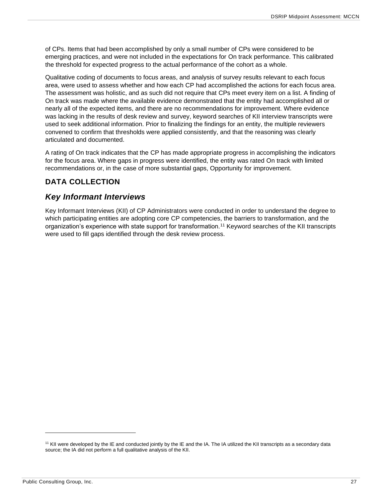of CPs. Items that had been accomplished by only a small number of CPs were considered to be emerging practices, and were not included in the expectations for On track performance. This calibrated the threshold for expected progress to the actual performance of the cohort as a whole.

Qualitative coding of documents to focus areas, and analysis of survey results relevant to each focus area, were used to assess whether and how each CP had accomplished the actions for each focus area. The assessment was holistic, and as such did not require that CPs meet every item on a list. A finding of On track was made where the available evidence demonstrated that the entity had accomplished all or nearly all of the expected items, and there are no recommendations for improvement. Where evidence was lacking in the results of desk review and survey, keyword searches of KII interview transcripts were used to seek additional information. Prior to finalizing the findings for an entity, the multiple reviewers convened to confirm that thresholds were applied consistently, and that the reasoning was clearly articulated and documented.

A rating of On track indicates that the CP has made appropriate progress in accomplishing the indicators for the focus area. Where gaps in progress were identified, the entity was rated On track with limited recommendations or, in the case of more substantial gaps, Opportunity for improvement.

## <span id="page-27-0"></span>**DATA COLLECTION**

## <span id="page-27-1"></span>*Key Informant Interviews*

Key Informant Interviews (KII) of CP Administrators were conducted in order to understand the degree to which participating entities are adopting core CP competencies, the barriers to transformation, and the organization's experience with state support for transformation.<sup>11</sup> Keyword searches of the KII transcripts were used to fill gaps identified through the desk review process.

<sup>&</sup>lt;sup>11</sup> KII were developed by the IE and conducted jointly by the IE and the IA. The IA utilized the KII transcripts as a secondary data source; the IA did not perform a full qualitative analysis of the KII.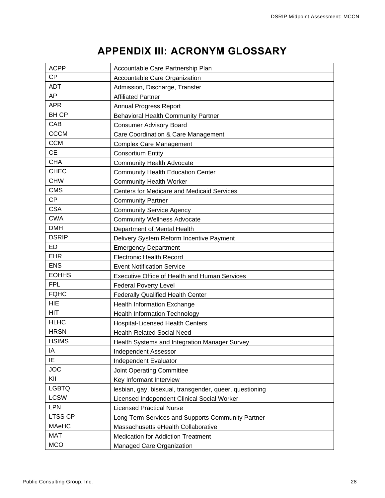## **APPENDIX III: ACRONYM GLOSSARY**

<span id="page-28-0"></span>

| <b>ACPP</b>    | Accountable Care Partnership Plan                       |
|----------------|---------------------------------------------------------|
| <b>CP</b>      | Accountable Care Organization                           |
| ADT            | Admission, Discharge, Transfer                          |
| AP             | <b>Affiliated Partner</b>                               |
| <b>APR</b>     | <b>Annual Progress Report</b>                           |
| <b>BHCP</b>    | <b>Behavioral Health Community Partner</b>              |
| CAB            | <b>Consumer Advisory Board</b>                          |
| <b>CCCM</b>    | Care Coordination & Care Management                     |
| <b>CCM</b>     | <b>Complex Care Management</b>                          |
| <b>CE</b>      | <b>Consortium Entity</b>                                |
| <b>CHA</b>     | <b>Community Health Advocate</b>                        |
| <b>CHEC</b>    | <b>Community Health Education Center</b>                |
| <b>CHW</b>     | <b>Community Health Worker</b>                          |
| <b>CMS</b>     | <b>Centers for Medicare and Medicaid Services</b>       |
| <b>CP</b>      | <b>Community Partner</b>                                |
| <b>CSA</b>     | <b>Community Service Agency</b>                         |
| <b>CWA</b>     | <b>Community Wellness Advocate</b>                      |
| <b>DMH</b>     | Department of Mental Health                             |
| <b>DSRIP</b>   | Delivery System Reform Incentive Payment                |
| ED             | <b>Emergency Department</b>                             |
| <b>EHR</b>     | <b>Electronic Health Record</b>                         |
| <b>ENS</b>     | <b>Event Notification Service</b>                       |
| <b>EOHHS</b>   | <b>Executive Office of Health and Human Services</b>    |
| <b>FPL</b>     | <b>Federal Poverty Level</b>                            |
| <b>FQHC</b>    | <b>Federally Qualified Health Center</b>                |
| <b>HIE</b>     | Health Information Exchange                             |
| HIT            | <b>Health Information Technology</b>                    |
| <b>HLHC</b>    | <b>Hospital-Licensed Health Centers</b>                 |
| <b>HRSN</b>    | <b>Health-Related Social Need</b>                       |
| <b>HSIMS</b>   | Health Systems and Integration Manager Survey           |
| IA             | <b>Independent Assessor</b>                             |
| IE             | Independent Evaluator                                   |
| <b>JOC</b>     | <b>Joint Operating Committee</b>                        |
| KII            | Key Informant Interview                                 |
| <b>LGBTQ</b>   | lesbian, gay, bisexual, transgender, queer, questioning |
| <b>LCSW</b>    | Licensed Independent Clinical Social Worker             |
| <b>LPN</b>     | <b>Licensed Practical Nurse</b>                         |
| <b>LTSS CP</b> | Long Term Services and Supports Community Partner       |
| <b>MAeHC</b>   | Massachusetts eHealth Collaborative                     |
| <b>MAT</b>     | <b>Medication for Addiction Treatment</b>               |
| <b>MCO</b>     | Managed Care Organization                               |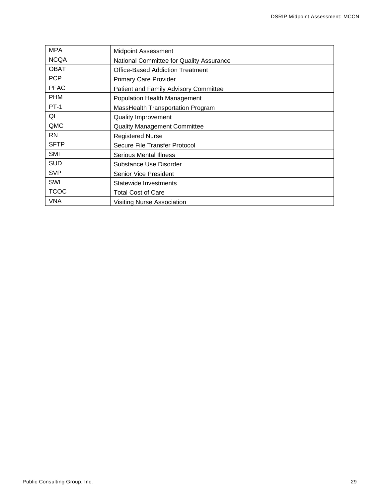| <b>MPA</b>  | <b>Midpoint Assessment</b>               |
|-------------|------------------------------------------|
| <b>NCQA</b> | National Committee for Quality Assurance |
| <b>OBAT</b> | <b>Office-Based Addiction Treatment</b>  |
| <b>PCP</b>  | <b>Primary Care Provider</b>             |
| <b>PFAC</b> | Patient and Family Advisory Committee    |
| <b>PHM</b>  | Population Health Management             |
| <b>PT-1</b> | MassHealth Transportation Program        |
| QI          | <b>Quality Improvement</b>               |
| QMC         | <b>Quality Management Committee</b>      |
| <b>RN</b>   | <b>Registered Nurse</b>                  |
| <b>SFTP</b> | Secure File Transfer Protocol            |
| <b>SMI</b>  | Serious Mental Illness                   |
| <b>SUD</b>  | Substance Use Disorder                   |
| <b>SVP</b>  | Senior Vice President                    |
| SWI         | Statewide Investments                    |
| <b>TCOC</b> | <b>Total Cost of Care</b>                |
| <b>VNA</b>  | <b>Visiting Nurse Association</b>        |